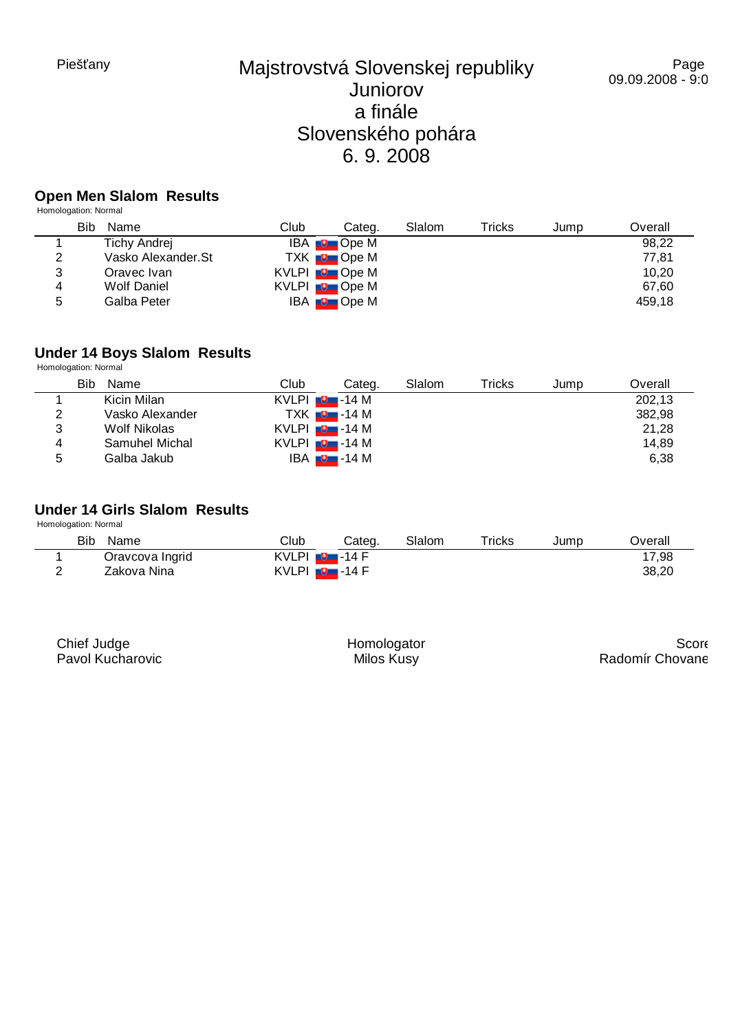## **Open Men Slalom Results**

Homologation: Normal

|   | Bib<br>Name         | Club | Categ.                  | Slalom | Tricks | Jump | Overall |
|---|---------------------|------|-------------------------|--------|--------|------|---------|
|   | <b>Tichy Andrej</b> |      | IBA <b>D</b> Ope M      |        |        |      | 98,22   |
| 2 | Vasko Alexander.St  |      | TXK <b>D</b> Ope M      |        |        |      | 77,81   |
| 3 | Oravec Ivan         |      | KVLPI <b>D</b> Ope M    |        |        |      | 10,20   |
| 4 | Wolf Daniel         |      | KVLPI <b>D</b> Ope M    |        |        |      | 67.60   |
| 5 | Galba Peter         |      | $IBA \rightarrow$ Ope M |        |        |      | 459.18  |

#### **Under 14 Boys Slalom Results**

Homologation: Normal

|   | Bib<br>Name     | Club               | Categ.                   | Slalom | Tricks | Jump | Overall |
|---|-----------------|--------------------|--------------------------|--------|--------|------|---------|
|   | Kicin Milan     | $KVLPI$ $Q$ -14 M  |                          |        |        |      | 202.13  |
| 2 | Vasko Alexander |                    | TXK <b>D</b> -14 M       |        |        |      | 382,98  |
| 3 | Wolf Nikolas    | $KVLPI = 9 - 14 M$ |                          |        |        |      | 21,28   |
| 4 | Samuhel Michal  | $KVLPI = 9 - 14 M$ |                          |        |        |      | 14,89   |
| 5 | Galba Jakub     |                    | IBA <del>∎9⊒</del> -14 M |        |        |      | 6,38    |

## **Under 14 Girls Slalom Results**

Homologation: Normal

| Bib<br>Name     | Club                        | Cateɑ. | Slalom | $\tau$ ricks | Jump | )verall |
|-----------------|-----------------------------|--------|--------|--------------|------|---------|
| Oravcova Ingrid | $KVLPI$ $\Box$ -14 F        |        |        |              |      | 17,98   |
| Zakova Nina     | KVLPI <del>∎9 -</del> -14 F |        |        |              |      | 38,20   |

| Chief Judge      |  |
|------------------|--|
| Pavol Kucharovic |  |

Homologator Milos Kusy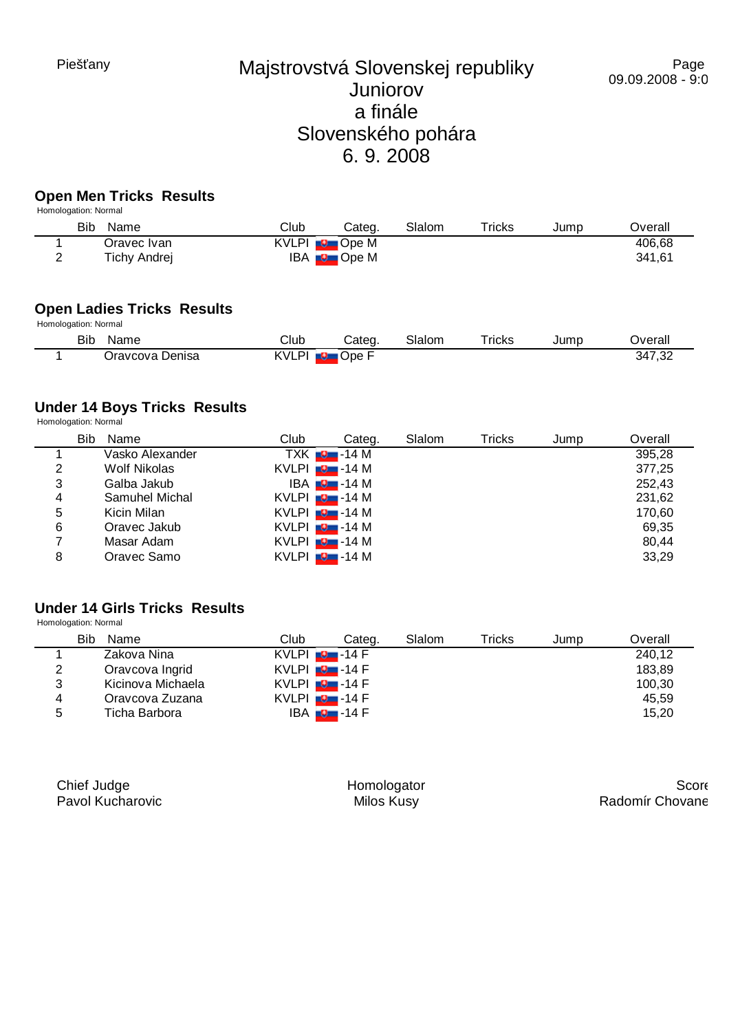## **Open Men Tricks Results**

| Homologation: Normal |              |      |                      |        |        |      |         |  |
|----------------------|--------------|------|----------------------|--------|--------|------|---------|--|
| Bib                  | Name         | Club | Categ.               | Slalom | Tricks | Jump | Overall |  |
|                      | Oravec Ivan  |      | KVLPI <b>D</b> Ope M |        |        |      | 406,68  |  |
|                      | Tichy Andrej |      | $IBA = Q$ Ope M      |        |        |      | 341.61  |  |

## **Open Ladies Tricks Results**

| Homologation: Normal |  |
|----------------------|--|
|----------------------|--|

| Bib | Name               | Club       | ∴ateα | Slalom | <sup>-</sup> ricks | Jump | <b>Dverall</b> |
|-----|--------------------|------------|-------|--------|--------------------|------|----------------|
|     | Jenisa<br>)ravcova | KVLPI<br>æ | Ope   |        |                    |      | 347,32         |

### **Under 14 Boys Tricks Results**

Homologation: Normal

|   | <b>Bib</b><br>Name | Club                 | Categ.                     | Slalom | Tricks | Jump | Overall |
|---|--------------------|----------------------|----------------------------|--------|--------|------|---------|
|   | Vasko Alexander    |                      | $TXK$ $\blacksquare$ -14 M |        |        |      | 395,28  |
| 2 | Wolf Nikolas       | $KVLPI$ $\Box$ -14 M |                            |        |        |      | 377,25  |
| 3 | Galba Jakub        |                      | $IBA$ $Q$ - 14 M           |        |        |      | 252.43  |
| 4 | Samuhel Michal     | $KVLPI$ $Q$ -14 M    |                            |        |        |      | 231,62  |
| 5 | Kicin Milan        | $KVLPI$ $Q$ -14 M    |                            |        |        |      | 170,60  |
| 6 | Oravec Jakub       | $KVLPI$ $Q$ -14 M    |                            |        |        |      | 69.35   |
| 7 | Masar Adam         | $KVLPI$ $\Box$ -14 M |                            |        |        |      | 80.44   |
| 8 | Oravec Samo        | $KVLPI$ $\Box$ -14 M |                            |        |        |      | 33,29   |

### **Under 14 Girls Tricks Results**

Homologation: Normal

|   | Bib<br>Name       | Club                 | Categ.                | Slalom | Tricks | Jump | Overall |
|---|-------------------|----------------------|-----------------------|--------|--------|------|---------|
|   | Zakova Nina       | $KVLPI$ $\Box$ -14 F |                       |        |        |      | 240,12  |
| 2 | Oravcova Ingrid   | KVLPI $\Box$ -14 F   |                       |        |        |      | 183,89  |
| 3 | Kicinova Michaela | $KVLPI$ $Q$ -14 F    |                       |        |        |      | 100,30  |
| 4 | Oravcova Zuzana   | KVLPI $\Box$ -14 F   |                       |        |        |      | 45,59   |
| 5 | Ticha Barbora     |                      | IBA <del>D</del> 14 F |        |        |      | 15,20   |

| Chief Judge      |  |
|------------------|--|
| Pavol Kucharovic |  |

Homologator Milos Kusy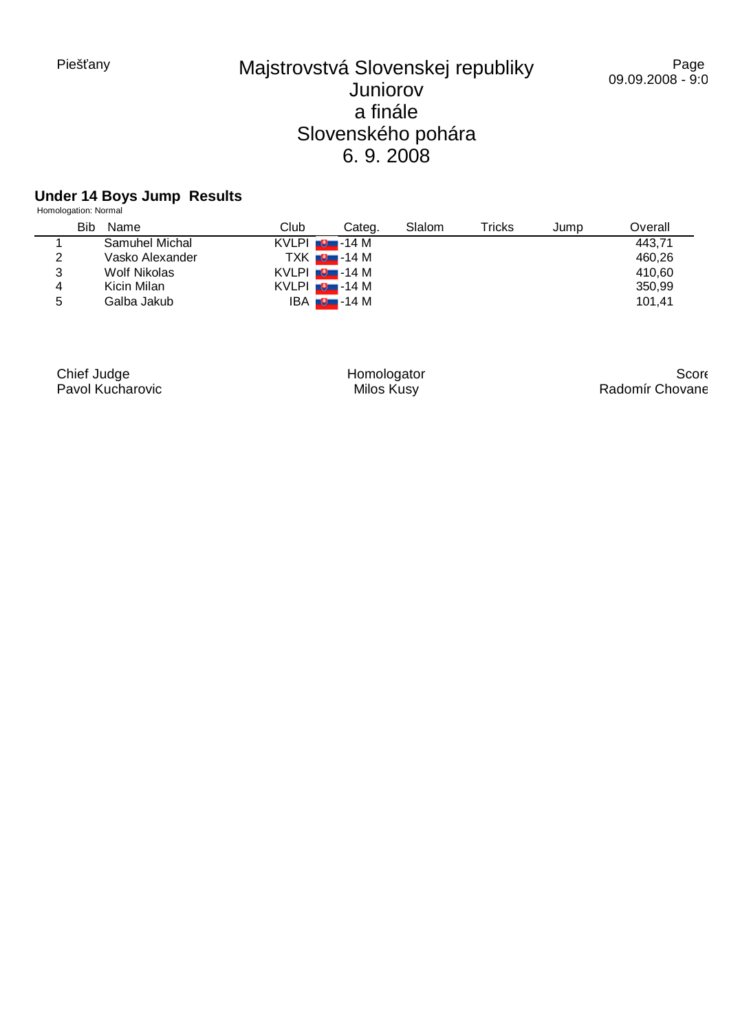#### Page 09.09.2008 - 9:04

#### **Under 14 Boys Jump Results**

|   | Homologation: Normal |                      |                          |        |        |      |         |
|---|----------------------|----------------------|--------------------------|--------|--------|------|---------|
|   | <b>Bib</b><br>Name   | Club                 | Categ.                   | Slalom | Tricks | Jump | Overall |
|   | Samuhel Michal       | $KVLPI$ $\Box$ -14 M |                          |        |        |      | 443,71  |
| 2 | Vasko Alexander      |                      | TXK $\blacksquare$ -14 M |        |        |      | 460,26  |
| 3 | Wolf Nikolas         | $KVLPI$ $\Box$ -14 M |                          |        |        |      | 410,60  |
| 4 | Kicin Milan          | $KVLPI$ $\Box$ -14 M |                          |        |        |      | 350,99  |
| 5 | Galba Jakub          |                      | IBA <del>∎9 -</del> 14 M |        |        |      | 101,41  |

Chief Judge Pavol Kucharovic Homologator Milos Kusy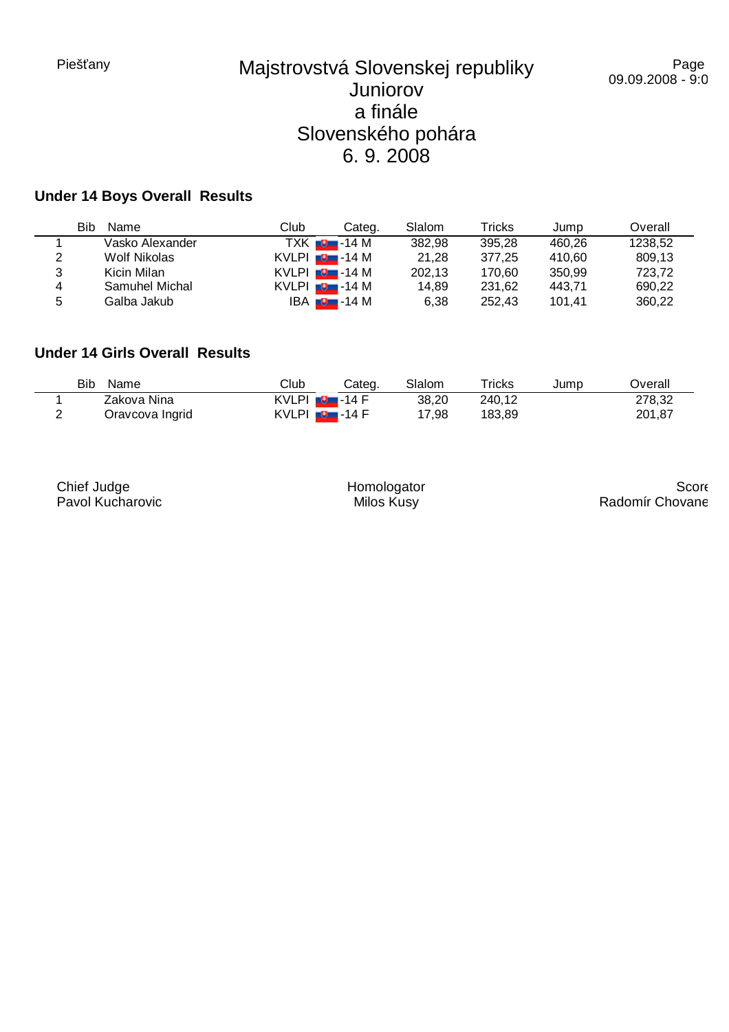### **Under 14 Boys Overall Results**

|   | Bib<br>Name     | Club               | Categ.                     | Slalom | Tricks | Jump   | Overall |
|---|-----------------|--------------------|----------------------------|--------|--------|--------|---------|
|   | Vasko Alexander |                    | $TXK$ $\blacksquare$ -14 M | 382,98 | 395.28 | 460.26 | 1238.52 |
| 2 | Wolf Nikolas    | $KVLPI = 9 - 14 M$ |                            | 21,28  | 377.25 | 410.60 | 809,13  |
| 3 | Kicin Milan     | $KVLPI = 3 - 14 M$ |                            | 202,13 | 170.60 | 350.99 | 723.72  |
| 4 | Samuhel Michal  | KVLPI $\Box$ -14 M |                            | 14.89  | 231.62 | 443.71 | 690.22  |
| 5 | Galba Jakub     |                    | IBA <mark>∎9 –</mark> 14 M | 6.38   | 252.43 | 101.41 | 360.22  |

### **Under 14 Girls Overall Results**

| Bib<br>Name     | Club                         | Categ. | Slalom | $\mathsf{Tricks}$ | Jump | )verall |
|-----------------|------------------------------|--------|--------|-------------------|------|---------|
| Zakova Nina     | KVLPI <b>B</b> -14 F         |        | 38,20  | 240,12            |      | 278,32  |
| Oravcova Ingrid | $KVLPI$ $\blacksquare$ -14 F |        | 7,98   | 183.89            |      | 201,87  |

Chief Judge Pavol Kucharovic

Homologator Milos Kusy